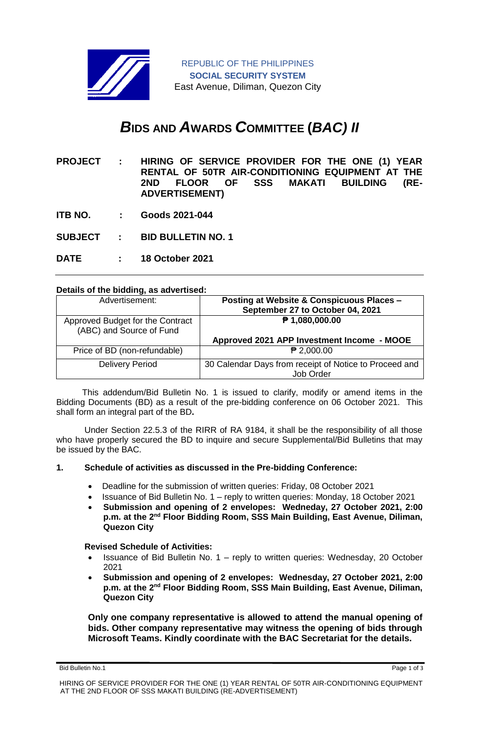

# *B***IDS AND** *A***WARDS** *C***OMMITTEE (***BAC) II*

- **PROJECT : HIRING OF SERVICE PROVIDER FOR THE ONE (1) YEAR RENTAL OF 50TR AIR-CONDITIONING EQUIPMENT AT THE 2ND FLOOR OF SSS MAKATI BUILDING (RE-ADVERTISEMENT)**
- **ITB NO. : Goods 2021-044**
- **SUBJECT : BID BULLETIN NO. 1**
- **DATE : 18 October 2021**

#### **Details of the bidding, as advertised:**

| Advertisement:                                               | Posting at Website & Conspicuous Places -<br>September 27 to October 04, 2021 |
|--------------------------------------------------------------|-------------------------------------------------------------------------------|
| Approved Budget for the Contract<br>(ABC) and Source of Fund | ₱ 1,080,000.00                                                                |
|                                                              | Approved 2021 APP Investment Income - MOOE                                    |
| Price of BD (non-refundable)                                 | $P$ 2,000.00                                                                  |
| <b>Delivery Period</b>                                       | 30 Calendar Days from receipt of Notice to Proceed and<br>Job Order           |

 This addendum/Bid Bulletin No. 1 is issued to clarify, modify or amend items in the Bidding Documents (BD) as a result of the pre-bidding conference on 06 October 2021. This shall form an integral part of the BD**.**

Under Section 22.5.3 of the RIRR of RA 9184, it shall be the responsibility of all those who have properly secured the BD to inquire and secure Supplemental/Bid Bulletins that may be issued by the BAC.

#### **1. Schedule of activities as discussed in the Pre-bidding Conference:**

- Deadline for the submission of written queries: Friday, 08 October 2021
- Issuance of Bid Bulletin No. 1 reply to written queries: Monday, 18 October 2021
- **Submission and opening of 2 envelopes: Wedneday, 27 October 2021, 2:00**  p.m. at the 2<sup>nd</sup> Floor Bidding Room, SSS Main Building, East Avenue, Diliman, **Quezon City**

#### **Revised Schedule of Activities:**

- Issuance of Bid Bulletin No. 1 reply to written queries: Wednesday, 20 October 2021
- **Submission and opening of 2 envelopes: Wednesday, 27 October 2021, 2:00**  p.m. at the 2<sup>nd</sup> Floor Bidding Room, SSS Main Building, East Avenue, Diliman, **Quezon City**

**Only one company representative is allowed to attend the manual opening of bids. Other company representative may witness the opening of bids through Microsoft Teams. Kindly coordinate with the BAC Secretariat for the details.**

Bid Bulletin No.1 Page 1 of 3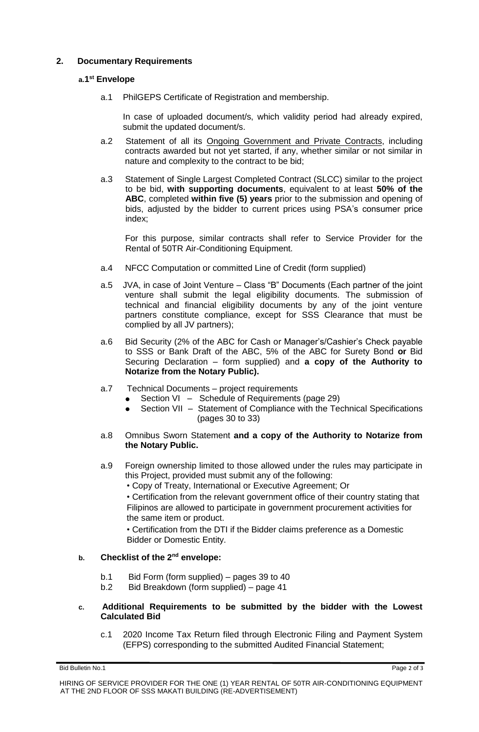## **2. Documentary Requirements**

## **a.1 st Envelope**

a.1 PhilGEPS Certificate of Registration and membership.

In case of uploaded document/s, which validity period had already expired, submit the updated document/s.

- a.2 Statement of all its Ongoing Government and Private Contracts, including contracts awarded but not yet started, if any, whether similar or not similar in nature and complexity to the contract to be bid;
- a.3 Statement of Single Largest Completed Contract (SLCC) similar to the project to be bid, **with supporting documents**, equivalent to at least **50% of the ABC**, completed **within five (5) years** prior to the submission and opening of bids, adjusted by the bidder to current prices using PSA's consumer price index;

For this purpose, similar contracts shall refer to Service Provider for the Rental of 50TR Air-Conditioning Equipment.

- a.4 NFCC Computation or committed Line of Credit (form supplied)
- a.5 JVA, in case of Joint Venture Class "B" Documents (Each partner of the joint venture shall submit the legal eligibility documents. The submission of technical and financial eligibility documents by any of the joint venture partners constitute compliance, except for SSS Clearance that must be complied by all JV partners);
- a.6 Bid Security (2% of the ABC for Cash or Manager's/Cashier's Check payable to SSS or Bank Draft of the ABC, 5% of the ABC for Surety Bond **or** Bid Securing Declaration – form supplied) and **a copy of the Authority to Notarize from the Notary Public).**
- a.7 Technical Documents project requirements
	- Section VI Schedule of Requirements (page 29)
	- Section VII Statement of Compliance with the Technical Specifications (pages 30 to 33)
- a.8 Omnibus Sworn Statement **and a copy of the Authority to Notarize from the Notary Public.**
- a.9 Foreign ownership limited to those allowed under the rules may participate in this Project, provided must submit any of the following:
	- Copy of Treaty, International or Executive Agreement; Or

• Certification from the relevant government office of their country stating that Filipinos are allowed to participate in government procurement activities for the same item or product.

• Certification from the DTI if the Bidder claims preference as a Domestic Bidder or Domestic Entity.

## **b. Checklist of the 2nd envelope:**

- b.1 Bid Form (form supplied) pages 39 to 40
- b.2 Bid Breakdown (form supplied) page 41

### **c. Additional Requirements to be submitted by the bidder with the Lowest Calculated Bid**

c.1 2020 Income Tax Return filed through Electronic Filing and Payment System (EFPS) corresponding to the submitted Audited Financial Statement;

Bid Bulletin No.1 Page 2 of 3